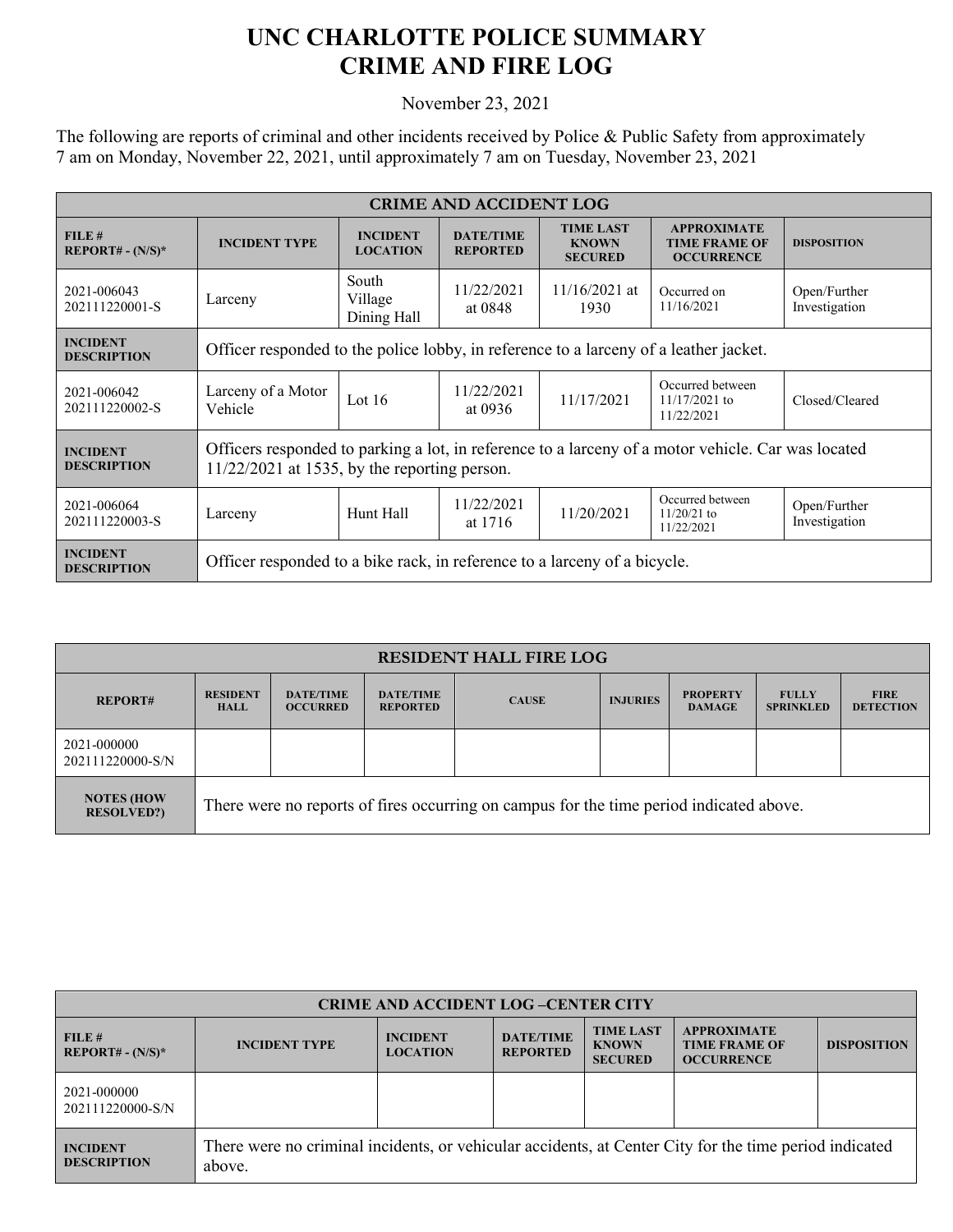## **UNC CHARLOTTE POLICE SUMMARY CRIME AND FIRE LOG**

November 23, 2021

The following are reports of criminal and other incidents received by Police & Public Safety from approximately 7 am on Monday, November 22, 2021, until approximately 7 am on Tuesday, November 23, 2021

| <b>CRIME AND ACCIDENT LOG</b>         |                                                                                                                                                      |                                    |                                     |                                                    |                                                                 |                               |  |
|---------------------------------------|------------------------------------------------------------------------------------------------------------------------------------------------------|------------------------------------|-------------------------------------|----------------------------------------------------|-----------------------------------------------------------------|-------------------------------|--|
| FILE#<br>$REPORT# - (N/S)*$           | <b>INCIDENT TYPE</b>                                                                                                                                 | <b>INCIDENT</b><br><b>LOCATION</b> | <b>DATE/TIME</b><br><b>REPORTED</b> | <b>TIME LAST</b><br><b>KNOWN</b><br><b>SECURED</b> | <b>APPROXIMATE</b><br><b>TIME FRAME OF</b><br><b>OCCURRENCE</b> | <b>DISPOSITION</b>            |  |
| 2021-006043<br>202111220001-S         | Larceny                                                                                                                                              | South<br>Village<br>Dining Hall    | 11/22/2021<br>at 0848               | $11/16/2021$ at<br>1930                            | Occurred on<br>11/16/2021                                       | Open/Further<br>Investigation |  |
| <b>INCIDENT</b><br><b>DESCRIPTION</b> | Officer responded to the police lobby, in reference to a larceny of a leather jacket.                                                                |                                    |                                     |                                                    |                                                                 |                               |  |
| 2021-006042<br>202111220002-S         | Larceny of a Motor<br>Vehicle                                                                                                                        | Lot $16$                           | 11/22/2021<br>at 0936               | 11/17/2021                                         | Occurred between<br>$11/17/2021$ to<br>11/22/2021               | Closed/Cleared                |  |
| <b>INCIDENT</b><br><b>DESCRIPTION</b> | Officers responded to parking a lot, in reference to a larceny of a motor vehicle. Car was located<br>$11/22/2021$ at 1535, by the reporting person. |                                    |                                     |                                                    |                                                                 |                               |  |
| 2021-006064<br>202111220003-S         | Larceny                                                                                                                                              | Hunt Hall                          | 11/22/2021<br>at 1716               | 11/20/2021                                         | Occurred between<br>$11/20/21$ to<br>11/22/2021                 | Open/Further<br>Investigation |  |
| <b>INCIDENT</b><br><b>DESCRIPTION</b> | Officer responded to a bike rack, in reference to a larceny of a bicycle.                                                                            |                                    |                                     |                                                    |                                                                 |                               |  |

| <b>RESIDENT HALL FIRE LOG</b>          |                                                                                         |                                     |                                     |              |                 |                                  |                                  |                                 |
|----------------------------------------|-----------------------------------------------------------------------------------------|-------------------------------------|-------------------------------------|--------------|-----------------|----------------------------------|----------------------------------|---------------------------------|
| <b>REPORT#</b>                         | <b>RESIDENT</b><br><b>HALL</b>                                                          | <b>DATE/TIME</b><br><b>OCCURRED</b> | <b>DATE/TIME</b><br><b>REPORTED</b> | <b>CAUSE</b> | <b>INJURIES</b> | <b>PROPERTY</b><br><b>DAMAGE</b> | <b>FULLY</b><br><b>SPRINKLED</b> | <b>FIRE</b><br><b>DETECTION</b> |
| 2021-000000<br>202111220000-S/N        |                                                                                         |                                     |                                     |              |                 |                                  |                                  |                                 |
| <b>NOTES (HOW</b><br><b>RESOLVED?)</b> | There were no reports of fires occurring on campus for the time period indicated above. |                                     |                                     |              |                 |                                  |                                  |                                 |

| <b>CRIME AND ACCIDENT LOG-CENTER CITY</b> |                                                                                                                  |                                    |                                     |                                                    |                                                                 |                    |  |
|-------------------------------------------|------------------------------------------------------------------------------------------------------------------|------------------------------------|-------------------------------------|----------------------------------------------------|-----------------------------------------------------------------|--------------------|--|
| FILE#<br>$REPORT# - (N/S)*$               | <b>INCIDENT TYPE</b>                                                                                             | <b>INCIDENT</b><br><b>LOCATION</b> | <b>DATE/TIME</b><br><b>REPORTED</b> | <b>TIME LAST</b><br><b>KNOWN</b><br><b>SECURED</b> | <b>APPROXIMATE</b><br><b>TIME FRAME OF</b><br><b>OCCURRENCE</b> | <b>DISPOSITION</b> |  |
| 2021-000000<br>202111220000-S/N           |                                                                                                                  |                                    |                                     |                                                    |                                                                 |                    |  |
| <b>INCIDENT</b><br><b>DESCRIPTION</b>     | There were no criminal incidents, or vehicular accidents, at Center City for the time period indicated<br>above. |                                    |                                     |                                                    |                                                                 |                    |  |